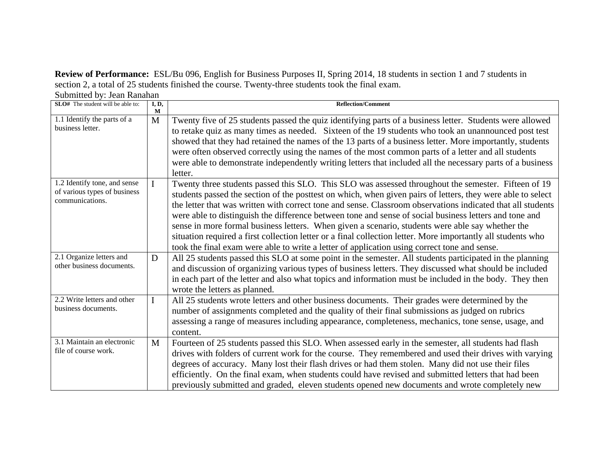**Review of Performance:** ESL/Bu 096, English for Business Purposes II, Spring 2014, 18 students in section 1 and 7 students in section 2, a total of 25 students finished the course. Twenty-three students took the final exam. Submitted by: Jean Ranahan

| Suomniva Oy. Jean Kananan<br><b>SLO#</b> The student will be able to:           | I, D,        | <b>Reflection/Comment</b>                                                                                                                                                                                                                                                                                                                                                                                                                                                                                                                                                                                                                                                                                                                                       |
|---------------------------------------------------------------------------------|--------------|-----------------------------------------------------------------------------------------------------------------------------------------------------------------------------------------------------------------------------------------------------------------------------------------------------------------------------------------------------------------------------------------------------------------------------------------------------------------------------------------------------------------------------------------------------------------------------------------------------------------------------------------------------------------------------------------------------------------------------------------------------------------|
|                                                                                 | M            |                                                                                                                                                                                                                                                                                                                                                                                                                                                                                                                                                                                                                                                                                                                                                                 |
| 1.1 Identify the parts of a<br>business letter.                                 | $\mathbf{M}$ | Twenty five of 25 students passed the quiz identifying parts of a business letter. Students were allowed<br>to retake quiz as many times as needed. Sixteen of the 19 students who took an unannounced post test<br>showed that they had retained the names of the 13 parts of a business letter. More importantly, students<br>were often observed correctly using the names of the most common parts of a letter and all students<br>were able to demonstrate independently writing letters that included all the necessary parts of a business<br>letter.                                                                                                                                                                                                    |
| 1.2 Identify tone, and sense<br>of various types of business<br>communications. |              | Twenty three students passed this SLO. This SLO was assessed throughout the semester. Fifteen of 19<br>students passed the section of the posttest on which, when given pairs of letters, they were able to select<br>the letter that was written with correct tone and sense. Classroom observations indicated that all students<br>were able to distinguish the difference between tone and sense of social business letters and tone and<br>sense in more formal business letters. When given a scenario, students were able say whether the<br>situation required a first collection letter or a final collection letter. More importantly all students who<br>took the final exam were able to write a letter of application using correct tone and sense. |
| 2.1 Organize letters and<br>other business documents.                           | D            | All 25 students passed this SLO at some point in the semester. All students participated in the planning<br>and discussion of organizing various types of business letters. They discussed what should be included<br>in each part of the letter and also what topics and information must be included in the body. They then<br>wrote the letters as planned.                                                                                                                                                                                                                                                                                                                                                                                                  |
| 2.2 Write letters and other<br>business documents.                              | $\mathbf I$  | All 25 students wrote letters and other business documents. Their grades were determined by the<br>number of assignments completed and the quality of their final submissions as judged on rubrics<br>assessing a range of measures including appearance, completeness, mechanics, tone sense, usage, and<br>content.                                                                                                                                                                                                                                                                                                                                                                                                                                           |
| $3.1$ Maintain an electronic<br>file of course work.                            | $\mathbf{M}$ | Fourteen of 25 students passed this SLO. When assessed early in the semester, all students had flash<br>drives with folders of current work for the course. They remembered and used their drives with varying<br>degrees of accuracy. Many lost their flash drives or had them stolen. Many did not use their files<br>efficiently. On the final exam, when students could have revised and submitted letters that had been<br>previously submitted and graded, eleven students opened new documents and wrote completely new                                                                                                                                                                                                                                  |